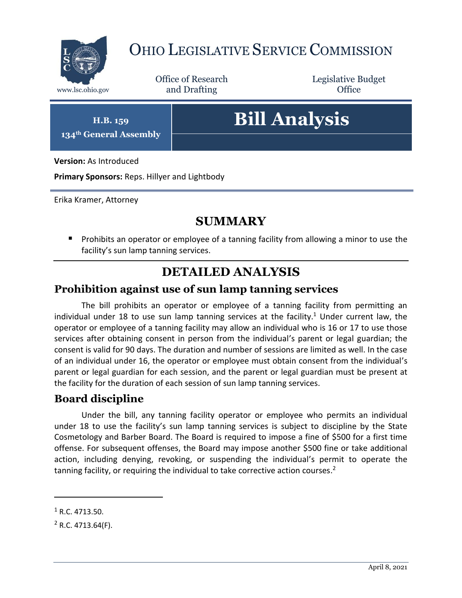

## OHIO LEGISLATIVE SERVICE COMMISSION

Office of Research www.lsc.ohio.gov **and Drafting Office** 

Legislative Budget

**H.B. 159 134th General Assembly**

# **Bill Analysis**

**Version:** As Introduced

**Primary Sponsors:** Reps. Hillyer and Lightbody

Erika Kramer, Attorney

#### **SUMMARY**

**Prohibits an operator or employee of a tanning facility from allowing a minor to use the** facility's sun lamp tanning services.

### **DETAILED ANALYSIS**

#### **Prohibition against use of sun lamp tanning services**

The bill prohibits an operator or employee of a tanning facility from permitting an individual under 18 to use sun lamp tanning services at the facility.<sup>1</sup> Under current law, the operator or employee of a tanning facility may allow an individual who is 16 or 17 to use those services after obtaining consent in person from the individual's parent or legal guardian; the consent is valid for 90 days. The duration and number of sessions are limited as well. In the case of an individual under 16, the operator or employee must obtain consent from the individual's parent or legal guardian for each session, and the parent or legal guardian must be present at the facility for the duration of each session of sun lamp tanning services.

#### **Board discipline**

Under the bill, any tanning facility operator or employee who permits an individual under 18 to use the facility's sun lamp tanning services is subject to discipline by the State Cosmetology and Barber Board. The Board is required to impose a fine of \$500 for a first time offense. For subsequent offenses, the Board may impose another \$500 fine or take additional action, including denying, revoking, or suspending the individual's permit to operate the tanning facility, or requiring the individual to take corrective action courses.<sup>2</sup>

 $\overline{a}$ 

 $1$  R.C. 4713.50.

 $2$  R.C. 4713.64(F).